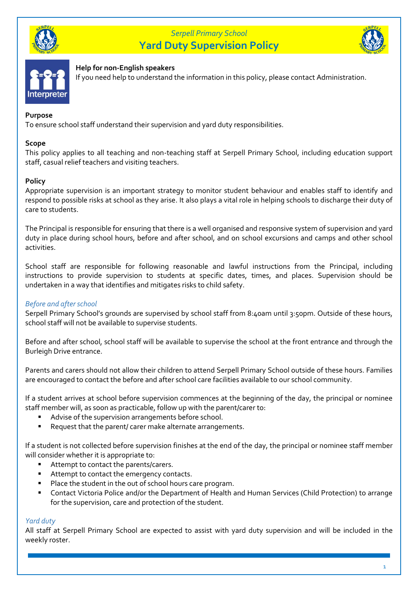





## **Help for non-English speakers**

If you need help to understand the information in this policy, please contact Administration.

### **Purpose**

To ensure school staff understand their supervision and yard duty responsibilities.

### **Scope**

This policy applies to all teaching and non-teaching staff at Serpell Primary School, including education support staff, casual relief teachers and visiting teachers.

### **Policy**

Appropriate supervision is an important strategy to monitor student behaviour and enables staff to identify and respond to possible risks at school as they arise. It also plays a vital role in helping schools to discharge their duty of care to students.

The Principal is responsible for ensuring that there is a well organised and responsive system of supervision and yard duty in place during school hours, before and after school, and on school excursions and camps and other school activities.

School staff are responsible for following reasonable and lawful instructions from the Principal, including instructions to provide supervision to students at specific dates, times, and places. Supervision should be undertaken in a way that identifies and mitigates risks to child safety.

## *Before and after school*

Serpell Primary School's grounds are supervised by school staff from 8:40am until 3:50pm. Outside of these hours, school staff will not be available to supervise students.

Before and after school, school staff will be available to supervise the school at the front entrance and through the Burleigh Drive entrance.

Parents and carers should not allow their children to attend Serpell Primary School outside of these hours. Families are encouraged to contact the before and after school care facilities available to our school community.

If a student arrives at school before supervision commences at the beginning of the day, the principal or nominee staff member will, as soon as practicable, follow up with the parent/carer to:

- Advise of the supervision arrangements before school.
- Request that the parent/ carer make alternate arrangements.

If a student is not collected before supervision finishes at the end of the day, the principal or nominee staff member will consider whether it is appropriate to:

- Attempt to contact the parents/carers.
- Attempt to contact the emergency contacts.
- Place the student in the out of school hours care program.
- Contact Victoria Police and/or the Department of Health and Human Services (Child Protection) to arrange for the supervision, care and protection of the student.

## *Yard duty*

All staff at Serpell Primary School are expected to assist with yard duty supervision and will be included in the weekly roster.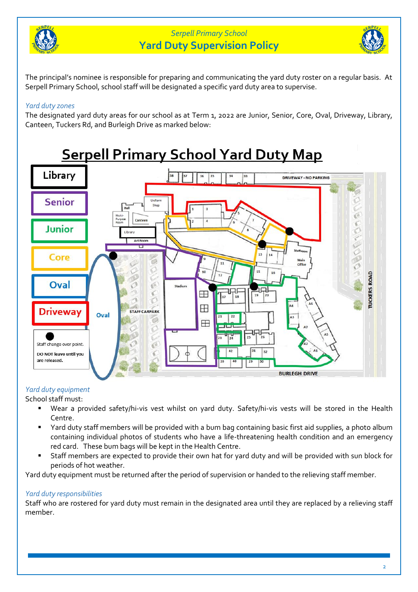



The principal's nominee is responsible for preparing and communicating the yard duty roster on a regular basis. At Serpell Primary School, school staff will be designated a specific yard duty area to supervise.

## *Yard duty zones*

The designated yard duty areas for our school as at Term 1, 2022 are Junior, Senior, Core, Oval, Driveway, Library, Canteen, Tuckers Rd, and Burleigh Drive as marked below:



## *Yard duty equipment*

School staff must:

- Wear a provided safety/hi-vis vest whilst on yard duty. Safety/hi-vis vests will be stored in the Health Centre.
- Yard duty staff members will be provided with a bum bag containing basic first aid supplies, a photo album containing individual photos of students who have a life-threatening health condition and an emergency red card. These bum bags will be kept in the Health Centre.
- Staff members are expected to provide their own hat for yard duty and will be provided with sun block for periods of hot weather.

Yard duty equipment must be returned after the period of supervision or handed to the relieving staff member.

## *Yard duty responsibilities*

Staff who are rostered for yard duty must remain in the designated area until they are replaced by a relieving staff member.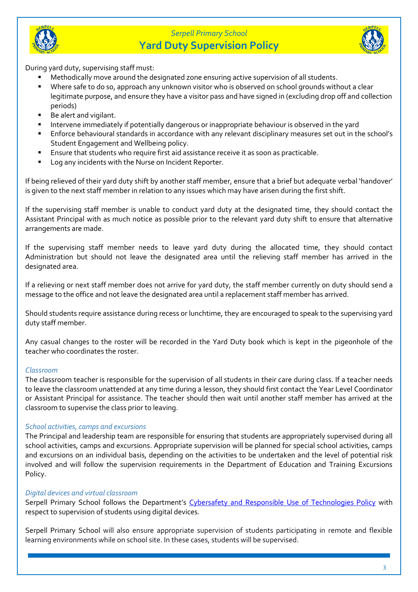



During yard duty, supervising staff must:

- Methodically move around the designated zone ensuring active supervision of all students.
- Where safe to do so, approach any unknown visitor who is observed on school grounds without a clear legitimate purpose, and ensure they have a visitor pass and have signed in (excluding drop off and collection periods)
- Be alert and vigilant.
- **EXTERGHTM** Intervene immediately if potentially dangerous or inappropriate behaviour is observed in the yard
- Enforce behavioural standards in accordance with any relevant disciplinary measures set out in the school's Student Engagement and Wellbeing policy.
- Ensure that students who require first aid assistance receive it as soon as practicable.
- Log any incidents with the Nurse on Incident Reporter.

If being relieved of their yard duty shift by another staff member, ensure that a brief but adequate verbal 'handover' is given to the next staff member in relation to any issues which may have arisen during the first shift.

If the supervising staff member is unable to conduct yard duty at the designated time, they should contact the Assistant Principal with as much notice as possible prior to the relevant yard duty shift to ensure that alternative arrangements are made.

If the supervising staff member needs to leave yard duty during the allocated time, they should contact Administration but should not leave the designated area until the relieving staff member has arrived in the designated area.

If a relieving or next staff member does not arrive for yard duty, the staff member currently on duty should send a message to the office and not leave the designated area until a replacement staff member has arrived.

Should students require assistance during recess or lunchtime, they are encouraged to speak to the supervising yard duty staff member.

Any casual changes to the roster will be recorded in the Yard Duty book which is kept in the pigeonhole of the teacher who coordinates the roster.

## *Classroom*

The classroom teacher is responsible for the supervision of all students in their care during class. If a teacher needs to leave the classroom unattended at any time during a lesson, they should first contact the Year Level Coordinator or Assistant Principal for assistance. The teacher should then wait until another staff member has arrived at the classroom to supervise the class prior to leaving.

## *School activities, camps and excursions*

The Principal and leadership team are responsible for ensuring that students are appropriately supervised during all school activities, camps and excursions. Appropriate supervision will be planned for special school activities, camps and excursions on an individual basis, depending on the activities to be undertaken and the level of potential risk involved and will follow the supervision requirements in the Department of Education and Training Excursions Policy.

## *Digital devices and virtual classroom*

Serpell Primary School follows the Department's [Cybersafety and Responsible Use of Technologies Policy](https://www2.education.vic.gov.au/pal/cybersafety/policy) with respect to supervision of students using digital devices.

Serpell Primary School will also ensure appropriate supervision of students participating in remote and flexible learning environments while on school site. In these cases, students will be supervised.